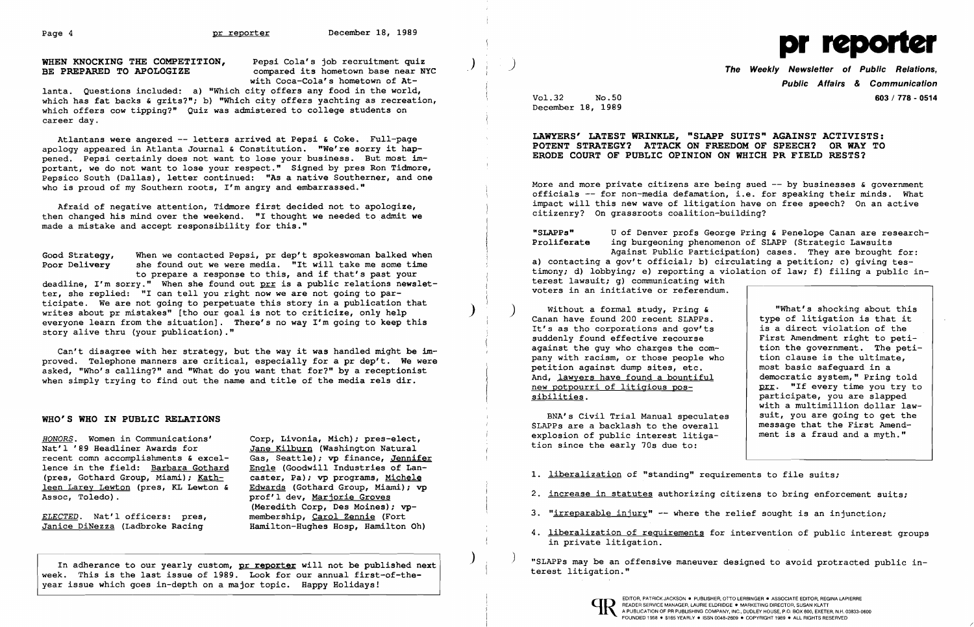

with Coca-Cola's hometown of At-

Atlantans were angered -- letters arrived at Pepsi & Coke. Full-page apology appeared in Atlanta Journal & Constitution. "We're sorry it happened. pepsi certainly does not want to lose your business. But most important, we do not want to lose your respect." Signed by pres Ron Tidmore, Pepsico South (Dallas), letter continued: "As a native Southerner, and one who is proud of my Southern roots, I'm angry and embarrassed."

lanta. Questions included: a) "Which city offers any food in the world, which has fat backs & grits?"; b) "Which city offers yachting as recreation, which offers cow tipping?" Quiz was admistered to college students on career day.

Afraid of negative attention, Tidmore first decided not to apologize, then changed his mind over the weekend. "I thought we needed to admit we made a mistake and accept responsibility for this."

Good Strategy, When we contacted Pepsi, pr dep't spokeswoman balked when<br>Poor Delivery she found out we were media. "It will take me some time she found out we were media. "It will take me some time to prepare a response to this, and if that's past your deadline, I'm sorry." When she found out  $prr$  is a public relations newsletter, she replied: "I can tell you right now we are not going to participate. We are not going to perpetuate this story in a publication that writes about pr mistakes" [tho our goal is not to criticize, only help everyone learn from the situation]. There's no way I'm going to keep this story alive thru (your publication)."

*HONORS.* Women in Communications' Corp, Livonia, Mich); pres-elect, recent comn accomplishments & excel-<br>lence in the field: Barbara Gothard Engle (Goodwill Industries of Lanlence in the field: Barbara Gothard Engle (Goodwill Industries of Lan-<br>(pres, Gothard Group, Miami); Kath- caster, Pa); vp programs, Michele (pres, Gothard Group, Miami); <u>Kath-</u> caster, Pa); vp programs, <u>Michele</u><br>leen Larey Lewton (pres, KL Lewton & Edwards (Gothard Group, Miami); vp leen Larey Lewton (pres, KL Lewton & Assoc, Toledo).

Jane Kilburn (Washington Natural<br>Gas, Seattle); vp finance, Jennifer prof'l dev, Marjorie Groves (Meredith Corp, Des Moines); vp-*ELECTED.* Nat'lofficers: pres, membership, Carol Zennie (Fort Hamilton-Hughes Hosp, Hamilton Oh)

More and more private citizens are being sued -- by businesses & government officials -- for non-media defamation, i.e. for speaking their minds. What impact will this new wave of litigation have on free speech? On an active citizenry? On grassroots coalition-building?

voters in an initiative or referendum. "What's shocking about this Without a formal study, Pring & Canan have found 200 recent SLAPPs. type of litigation is that it<br>is a direct violation of the It's as tho corporations and gov'ts is a direct violation of the<br>suddenly found effective recourse First Amendment right to petisuddenly found effective recourse <br>against the guy who charges the com-<br>tion the government. The petiagainst the guy who charges the com-<br>  $\begin{array}{|l|} \hline \text{tion the government.} \hline \text{The pet} \\ \hline \text{than the number of times.} \hline \end{array}$ pany with racism, or those people who petition against dump sites, etc. most basic safequard in a And, lawyers have found a bountiful<br>new potpourri of litigious pos democratic system," Pring told new potpourri of litigious pos-<br>sibilities.<br>participate, you are slapped participate, you are slapped with a multimillion dollar law-<br>suit, you are going to get the BNA's Civil Trial Manual speculates | suit, you are going to get the<br>NPPs are a backlash to the overall | message that the First Amend-SLAPPs are a backlash to the overall  $\begin{array}{c|c} \n\text{message that the First A mend-}\n\text{exclusion of public interest.} \n\end{array}$ explosion of public interest litiga-

Can't disagree with her strategy, but the way it was handled might be improved. Telephone manners are critical, especially for a pr dep't. We were asked, "Who's calling?" and "What do you want that for?" by a receptionist when simply trying to find out the name and title of the media rels dir.

## WHO'S WHO IN PUBLIC RELATIONS

- 2. increase in statutes authorizing citizens to bring enforcement suits;
- 3. "irreparable injury" -- where the relief sought is an injunction;
- 4. <u>liberalization of requirements</u> for intervention of public interest groups in private litigation.

In adherance to our yearly custom, pr reporter will not be published next  $\vert$  , and the mangle an offensive maneuver designed to avoid protracted public in-<br>In a state is the last issue of 1999, Isah for any sequel first



week. This is the last issue of 1989. Look for our annual first-of-theyear issue which goes in-depth on a major topic. Happy Holidays!

Public Affairs & Communication Vol.32 No.50 603/ 778 - 0514

December 18, 1989

## LAWYERS' LATEST WRINKLE, "SLAPP SUITS" AGAINST ACTIVISTS: POTENT STRATEGY? ATTACK ON FREEDOM OF SPEECH? OR WAY TO ERODE COURT OF PUBLIC OPINION ON WHICH PR FIELD RESTS?

"SLAPPs" U of Denver profs George Pring & Penelope Canan are researching burgeoning phenomenon of SLAPP (Strategic Lawsuits Against Public Participation) cases. They are brought for: a) contacting a gov't official; b) circulating a petition; c) giving testimony; d) lobbying; e) reporting a violation of law; f) filing a public in-

terest lawsuit; g) communicating with

tion since the early 70s due to:

1. liberalization of "standing" requirements to file suits;

/